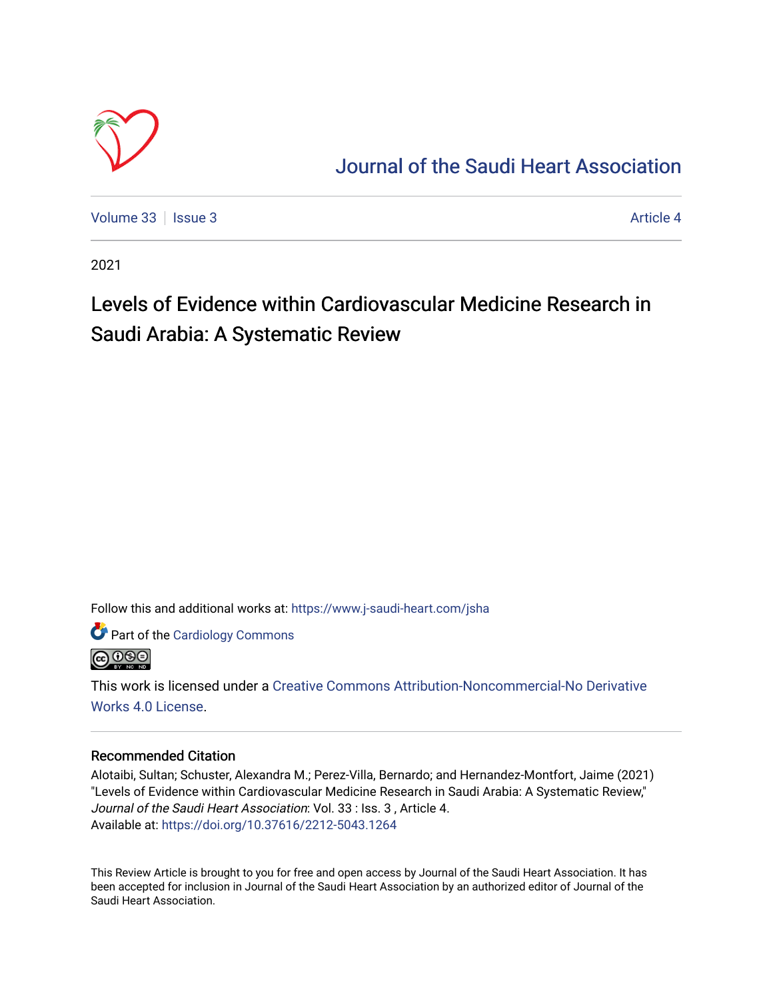

# [Journal of the Saudi Heart Association](https://www.j-saudi-heart.com/jsha)

[Volume 33](https://www.j-saudi-heart.com/jsha/vol33) | [Issue 3](https://www.j-saudi-heart.com/jsha/vol33/iss3) Article 4

2021

# Levels of Evidence within Cardiovascular Medicine Research in Saudi Arabia: A Systematic Review

Follow this and additional works at: [https://www.j-saudi-heart.com/jsha](https://www.j-saudi-heart.com/jsha?utm_source=www.j-saudi-heart.com%2Fjsha%2Fvol33%2Fiss3%2F4&utm_medium=PDF&utm_campaign=PDFCoverPages) 

Part of the [Cardiology Commons](http://network.bepress.com/hgg/discipline/683?utm_source=www.j-saudi-heart.com%2Fjsha%2Fvol33%2Fiss3%2F4&utm_medium=PDF&utm_campaign=PDFCoverPages)



This work is licensed under a [Creative Commons Attribution-Noncommercial-No Derivative](http://creativecommons.org/licenses/by-nc-nd/4.0/)  [Works 4.0 License](http://creativecommons.org/licenses/by-nc-nd/4.0/).

# Recommended Citation

Alotaibi, Sultan; Schuster, Alexandra M.; Perez-Villa, Bernardo; and Hernandez-Montfort, Jaime (2021) "Levels of Evidence within Cardiovascular Medicine Research in Saudi Arabia: A Systematic Review," Journal of the Saudi Heart Association: Vol. 33 : Iss. 3 , Article 4. Available at:<https://doi.org/10.37616/2212-5043.1264>

This Review Article is brought to you for free and open access by Journal of the Saudi Heart Association. It has been accepted for inclusion in Journal of the Saudi Heart Association by an authorized editor of Journal of the Saudi Heart Association.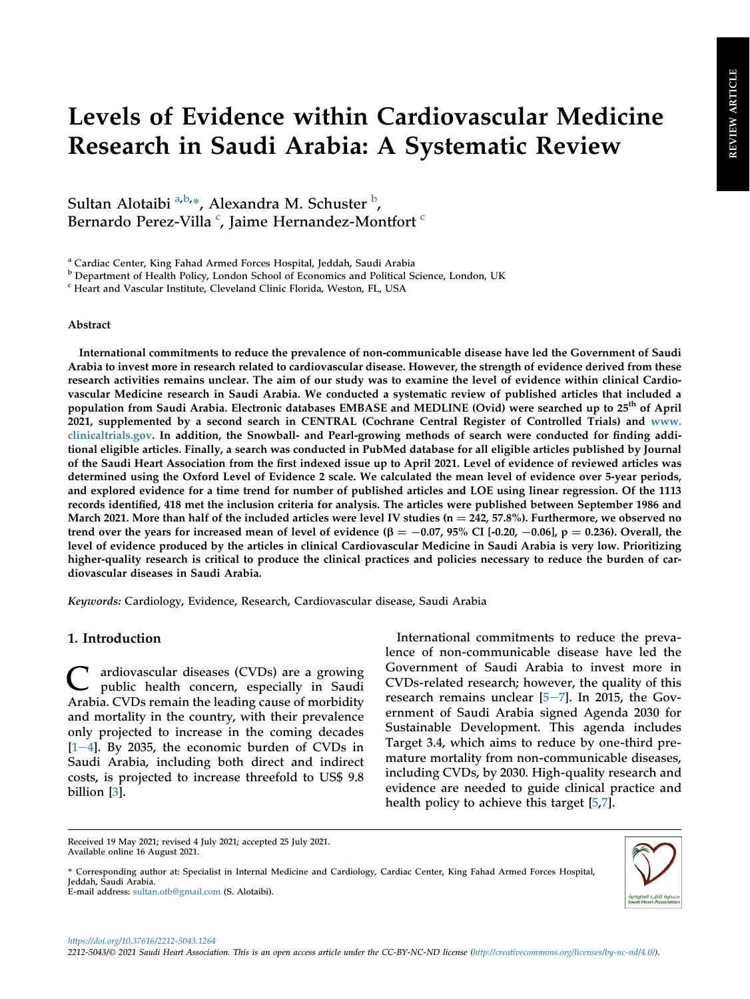# Levels of Evidence within Cardiovascular Medicine Research in Saudi Arabia: A Systematic Review

Sult[a](#page-1-0)n Alotaibi <sup>a,[b,](#page-1-1)\*</sup>, Alexandra M. Schuster <sup>[b](#page-1-1)</sup>, Bernardo Perez-Villa <sup>[c](#page-1-2)</sup>, Jaime Hernandez-Montfort <sup>c</sup>

<span id="page-1-0"></span><sup>a</sup> Cardiac Center, King Fahad Armed Forces Hospital, Jeddah, Saudi Arabia

<span id="page-1-1"></span>**b** Department of Health Policy, London School of Economics and Political Science, London, UK

<span id="page-1-2"></span><sup>c</sup> Heart and Vascular Institute, Cleveland Clinic Florida, Weston, FL, USA

#### Abstract

International commitments to reduce the prevalence of non-communicable disease have led the Government of Saudi Arabia to invest more in research related to cardiovascular disease. However, the strength of evidence derived from these research activities remains unclear. The aim of our study was to examine the level of evidence within clinical Cardiovascular Medicine research in Saudi Arabia. We conducted a systematic review of published articles that included a population from Saudi Arabia. Electronic databases EMBASE and MEDLINE (Ovid) were searched up to 25<sup>th</sup> of April 2021, supplemented by a second search in CENTRAL (Cochrane Central Register of Controlled Trials) and [www.](http://www.clinicaltrials.gov) [clinicaltrials.gov.](http://www.clinicaltrials.gov) In addition, the Snowball- and Pearl-growing methods of search were conducted for finding additional eligible articles. Finally, a search was conducted in PubMed database for all eligible articles published by Journal of the Saudi Heart Association from the first indexed issue up to April 2021. Level of evidence of reviewed articles was determined using the Oxford Level of Evidence 2 scale. We calculated the mean level of evidence over 5-year periods, and explored evidence for a time trend for number of published articles and LOE using linear regression. Of the 1113 records identified, 418 met the inclusion criteria for analysis. The articles were published between September 1986 and March 2021. More than half of the included articles were level IV studies ( $n = 242, 57.8\%$ ). Furthermore, we observed no trend over the years for increased mean of level of evidence  $(\beta = -0.07, 95\% \text{ CI}$  [-0.20, -0.06], p = 0.236). Overall, the level of evidence produced by the articles in clinical Cardiovascular Medicine in Saudi Arabia is very low. Prioritizing higher-quality research is critical to produce the clinical practices and policies necessary to reduce the burden of cardiovascular diseases in Saudi Arabia.

Keywords: Cardiology, Evidence, Research, Cardiovascular disease, Saudi Arabia

# 1. Introduction

C ardiovascular diseases (CVDs) are a growing public health concern, especially in Saudi Arabia. CVDs remain the leading cause of morbidity and mortality in the country, with their prevalence only projected to increase in the coming decades  $[1-4]$  $[1-4]$  $[1-4]$ . By 2035, the economic burden of CVDs in Saudi Arabia, including both direct and indirect costs, is projected to increase threefold to US\$ 9.8 billion [\[3](#page-6-1)].

International commitments to reduce the prevalence of non-communicable disease have led the Government of Saudi Arabia to invest more in CVDs-related research; however, the quality of this research remains unclear  $[5-7]$  $[5-7]$  $[5-7]$ . In 2015, the Government of Saudi Arabia signed Agenda 2030 for Sustainable Development. This agenda includes Target 3.4, which aims to reduce by one-third premature mortality from non-communicable diseases, including CVDs, by 2030. High-quality research and evidence are needed to guide clinical practice and health policy to achieve this target [\[5](#page-6-2),[7\]](#page-6-3).

\* Corresponding author at: Specialist in Internal Medicine and Cardiology, Cardiac Center, King Fahad Armed Forces Hospital, Jeddah, Saudi Arabia. E-mail address: [sultan.otb@gmail.com](mailto:sultan.otb@gmail.com) (S. Alotaibi).



https://doi.org/10.37616/2212-5043.1264

Received 19 May 2021; revised 4 July 2021; accepted 25 July 2021. Available online 16 August 2021.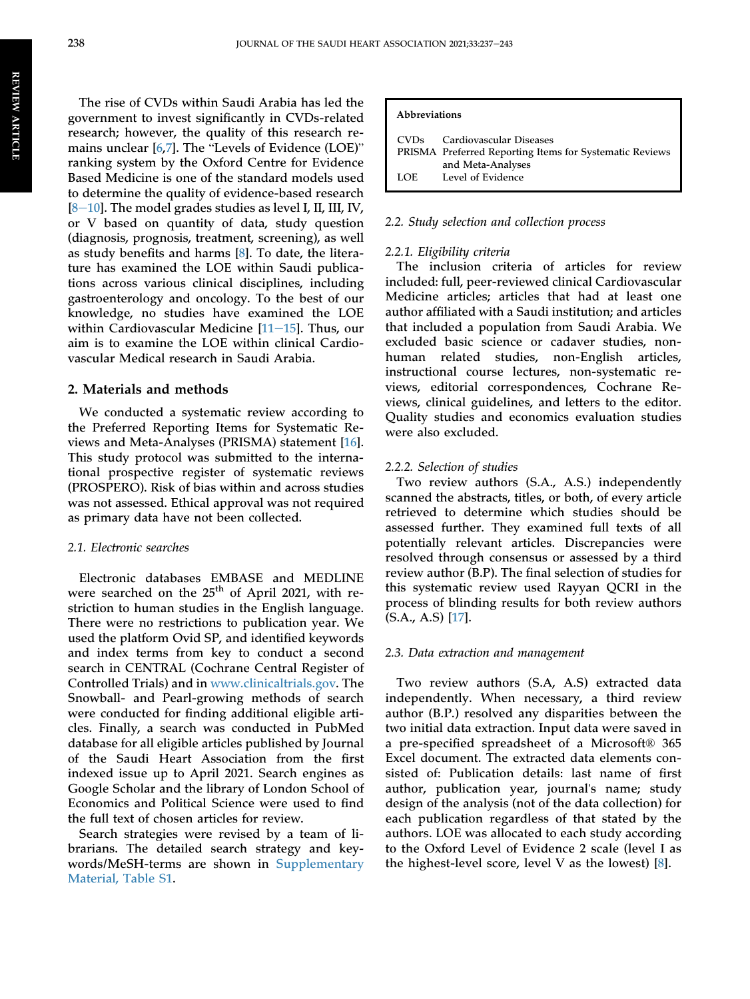The rise of CVDs within Saudi Arabia has led the government to invest significantly in CVDs-related research; however, the quality of this research remains unclear [\[6](#page-6-4),[7\]](#page-6-3). The "Levels of Evidence (LOE)" ranking system by the Oxford Centre for Evidence Based Medicine is one of the standard models used to determine the quality of evidence-based research  $[8-10]$  $[8-10]$  $[8-10]$ . The model grades studies as level I, II, III, IV, or V based on quantity of data, study question (diagnosis, prognosis, treatment, screening), as well as study benefits and harms [[8\]](#page-6-5). To date, the literature has examined the LOE within Saudi publications across various clinical disciplines, including gastroenterology and oncology. To the best of our knowledge, no studies have examined the LOE within Cardiovascular Medicine  $[11-15]$  $[11-15]$  $[11-15]$  $[11-15]$  $[11-15]$ . Thus, our aim is to examine the LOE within clinical Cardiovascular Medical research in Saudi Arabia.

#### 2. Materials and methods

We conducted a systematic review according to the Preferred Reporting Items for Systematic Reviews and Meta-Analyses (PRISMA) statement [\[16](#page-6-7)]. This study protocol was submitted to the international prospective register of systematic reviews (PROSPERO). Risk of bias within and across studies was not assessed. Ethical approval was not required as primary data have not been collected.

#### 2.1. Electronic searches

Electronic databases EMBASE and MEDLINE were searched on the 25<sup>th</sup> of April 2021, with restriction to human studies in the English language. There were no restrictions to publication year. We used the platform Ovid SP, and identified keywords and index terms from key to conduct a second search in CENTRAL (Cochrane Central Register of Controlled Trials) and in [www.clinicaltrials.gov.](http://www.clinicaltrials.gov) The Snowball- and Pearl-growing methods of search were conducted for finding additional eligible articles. Finally, a search was conducted in PubMed database for all eligible articles published by Journal of the Saudi Heart Association from the first indexed issue up to April 2021. Search engines as Google Scholar and the library of London School of Economics and Political Science were used to find the full text of chosen articles for review.

Search strategies were revised by a team of librarians. The detailed search strategy and keywords/MeSH-terms are shown in [Supplementary](#page-6-8) [Material, Table S1](#page-6-8).

#### Abbreviations

| CVD <sub>s</sub> | Cardiovascular Diseases<br>PRISMA Preferred Reporting Items for Systematic Reviews |
|------------------|------------------------------------------------------------------------------------|
|                  | and Meta-Analyses                                                                  |
| LOE              | Level of Evidence                                                                  |

#### 2.2. Study selection and collection process

#### 2.2.1. Eligibility criteria

The inclusion criteria of articles for review included: full, peer-reviewed clinical Cardiovascular Medicine articles; articles that had at least one author affiliated with a Saudi institution; and articles that included a population from Saudi Arabia. We excluded basic science or cadaver studies, nonhuman related studies, non-English articles, instructional course lectures, non-systematic reviews, editorial correspondences, Cochrane Reviews, clinical guidelines, and letters to the editor. Quality studies and economics evaluation studies were also excluded.

#### 2.2.2. Selection of studies

Two review authors (S.A., A.S.) independently scanned the abstracts, titles, or both, of every article retrieved to determine which studies should be assessed further. They examined full texts of all potentially relevant articles. Discrepancies were resolved through consensus or assessed by a third review author (B.P). The final selection of studies for this systematic review used Rayyan QCRI in the process of blinding results for both review authors (S.A., A.S) [\[17](#page-6-9)].

#### 2.3. Data extraction and management

Two review authors (S.A, A.S) extracted data independently. When necessary, a third review author (B.P.) resolved any disparities between the two initial data extraction. Input data were saved in a pre-specified spreadsheet of a Microsoft® 365 Excel document. The extracted data elements consisted of: Publication details: last name of first author, publication year, journal's name; study design of the analysis (not of the data collection) for each publication regardless of that stated by the authors. LOE was allocated to each study according to the Oxford Level of Evidence 2 scale (level I as the highest-level score, level V as the lowest) [[8\]](#page-6-5).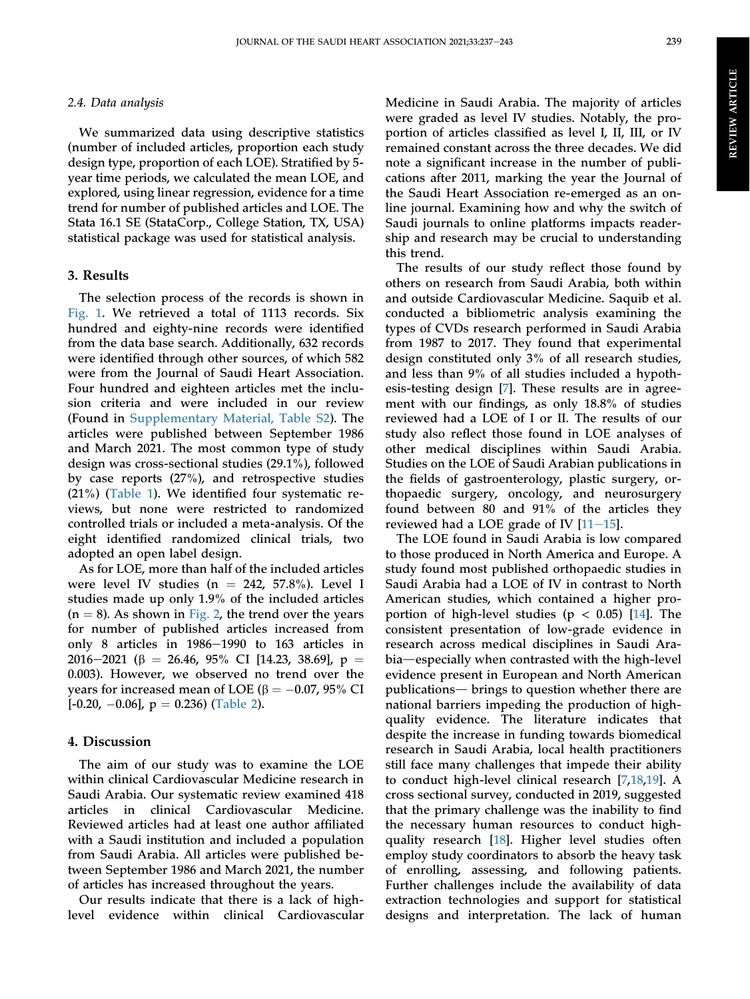#### 2.4. Data analysis

We summarized data using descriptive statistics (number of included articles, proportion each study design type, proportion of each LOE). Stratified by 5 year time periods, we calculated the mean LOE, and explored, using linear regression, evidence for a time trend for number of published articles and LOE. The Stata 16.1 SE (StataCorp., College Station, TX, USA) statistical package was used for statistical analysis.

# 3. Results

The selection process of the records is shown in [Fig. 1](#page-4-0). We retrieved a total of 1113 records. Six hundred and eighty-nine records were identified from the data base search. Additionally, 632 records were identified through other sources, of which 582 were from the Journal of Saudi Heart Association. Four hundred and eighteen articles met the inclusion criteria and were included in our review (Found in [Supplementary Material, Table S2\)](#page-6-8). The articles were published between September 1986 and March 2021. The most common type of study design was cross-sectional studies (29.1%), followed by case reports (27%), and retrospective studies (21%) [\(Table 1\)](#page-4-1). We identified four systematic reviews, but none were restricted to randomized controlled trials or included a meta-analysis. Of the eight identified randomized clinical trials, two adopted an open label design.

As for LOE, more than half of the included articles were level IV studies ( $n = 242, 57.8\%$ ). Level I studies made up only 1.9% of the included articles  $(n = 8)$ . As shown in [Fig. 2,](#page-5-0) the trend over the years for number of published articles increased from only 8 articles in  $1986-1990$  to  $163$  articles in 2016–2021 ( $\beta$  = 26.46, 95% CI [14.23, 38.69], p = 0.003). However, we observed no trend over the years for increased mean of LOE ( $\beta = -0.07$ , 95% CI  $[-0.20, -0.06]$ ,  $p = 0.236$ ) [\(Table 2](#page-5-1)).

### 4. Discussion

The aim of our study was to examine the LOE within clinical Cardiovascular Medicine research in Saudi Arabia. Our systematic review examined 418 articles in clinical Cardiovascular Medicine. Reviewed articles had at least one author affiliated with a Saudi institution and included a population from Saudi Arabia. All articles were published between September 1986 and March 2021, the number of articles has increased throughout the years.

Our results indicate that there is a lack of highlevel evidence within clinical Cardiovascular Medicine in Saudi Arabia. The majority of articles were graded as level IV studies. Notably, the proportion of articles classified as level I, II, III, or IV remained constant across the three decades. We did note a significant increase in the number of publications after 2011, marking the year the Journal of the Saudi Heart Association re-emerged as an online journal. Examining how and why the switch of Saudi journals to online platforms impacts readership and research may be crucial to understanding this trend.

The results of our study reflect those found by others on research from Saudi Arabia, both within and outside Cardiovascular Medicine. Saquib et al. conducted a bibliometric analysis examining the types of CVDs research performed in Saudi Arabia from 1987 to 2017. They found that experimental design constituted only 3% of all research studies, and less than 9% of all studies included a hypothesis-testing design [\[7](#page-6-3)]. These results are in agreement with our findings, as only 18.8% of studies reviewed had a LOE of I or II. The results of our study also reflect those found in LOE analyses of other medical disciplines within Saudi Arabia. Studies on the LOE of Saudi Arabian publications in the fields of gastroenterology, plastic surgery, orthopaedic surgery, oncology, and neurosurgery found between 80 and 91% of the articles they reviewed had a LOE grade of IV  $[11-15]$  $[11-15]$  $[11-15]$  $[11-15]$  $[11-15]$ .

The LOE found in Saudi Arabia is low compared to those produced in North America and Europe. A study found most published orthopaedic studies in Saudi Arabia had a LOE of IV in contrast to North American studies, which contained a higher proportion of high-level studies ( $p < 0.05$ ) [\[14](#page-6-10)]. The consistent presentation of low-grade evidence in research across medical disciplines in Saudi Arabia—especially when contrasted with the high-level evidence present in European and North American publications— brings to question whether there are national barriers impeding the production of highquality evidence. The literature indicates that despite the increase in funding towards biomedical research in Saudi Arabia, local health practitioners still face many challenges that impede their ability to conduct high-level clinical research [[7,](#page-6-3)[18](#page-6-11),[19\]](#page-6-12). A cross sectional survey, conducted in 2019, suggested that the primary challenge was the inability to find the necessary human resources to conduct highquality research [[18\]](#page-6-11). Higher level studies often employ study coordinators to absorb the heavy task of enrolling, assessing, and following patients. Further challenges include the availability of data extraction technologies and support for statistical designs and interpretation. The lack of human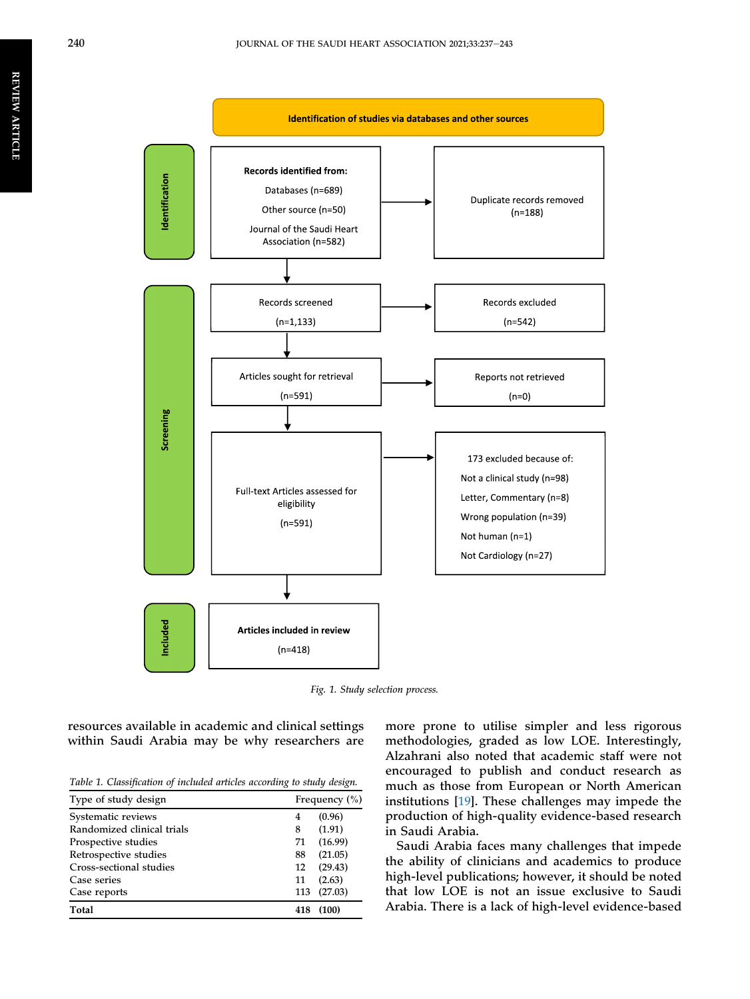<span id="page-4-0"></span>

Fig. 1. Study selection process.

resources available in academic and clinical settings within Saudi Arabia may be why researchers are

<span id="page-4-1"></span>Table 1. Classification of included articles according to study design.

| Type of study design       |     | Frequency $(\% )$ |  |
|----------------------------|-----|-------------------|--|
| Systematic reviews         | 4   | (0.96)            |  |
| Randomized clinical trials | 8   | (1.91)            |  |
| Prospective studies        | 71  | (16.99)           |  |
| Retrospective studies      | 88  | (21.05)           |  |
| Cross-sectional studies    | 12  | (29.43)           |  |
| Case series                | 11  | (2.63)            |  |
| Case reports               | 113 | (27.03)           |  |
| Total                      | 418 | (100)             |  |

more prone to utilise simpler and less rigorous methodologies, graded as low LOE. Interestingly, Alzahrani also noted that academic staff were not encouraged to publish and conduct research as much as those from European or North American institutions [[19\]](#page-6-12). These challenges may impede the production of high-quality evidence-based research in Saudi Arabia.

Saudi Arabia faces many challenges that impede the ability of clinicians and academics to produce high-level publications; however, it should be noted that low LOE is not an issue exclusive to Saudi Arabia. There is a lack of high-level evidence-based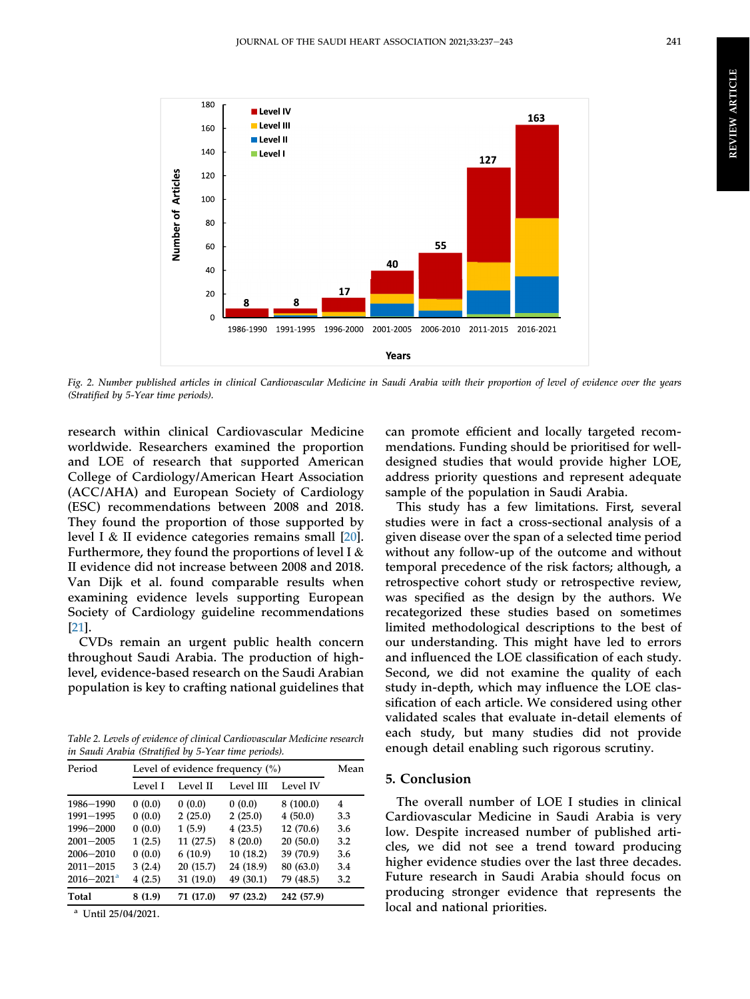<span id="page-5-0"></span>

Fig. 2. Number published articles in clinical Cardiovascular Medicine in Saudi Arabia with their proportion of level of evidence over the years (Stratified by 5-Year time periods).

research within clinical Cardiovascular Medicine worldwide. Researchers examined the proportion and LOE of research that supported American College of Cardiology/American Heart Association (ACC/AHA) and European Society of Cardiology (ESC) recommendations between 2008 and 2018. They found the proportion of those supported by level I & II evidence categories remains small [\[20](#page-7-0)]. Furthermore, they found the proportions of level I & II evidence did not increase between 2008 and 2018. Van Dijk et al. found comparable results when examining evidence levels supporting European Society of Cardiology guideline recommendations [\[21](#page-7-1)].

CVDs remain an urgent public health concern throughout Saudi Arabia. The production of highlevel, evidence-based research on the Saudi Arabian population is key to crafting national guidelines that

<span id="page-5-1"></span>Table 2. Levels of evidence of clinical Cardiovascular Medicine research in Saudi Arabia (Stratified by 5-Year time periods).

| Period                     | Level of evidence frequency $(\% )$ |           |           |            |     |
|----------------------------|-------------------------------------|-----------|-----------|------------|-----|
|                            | Level I                             | Level II  | Level III | Level IV   |     |
| 1986-1990                  | 0(0.0)                              | 0(0.0)    | 0(0.0)    | 8(100.0)   | 4   |
| 1991-1995                  | 0(0.0)                              | 2(25.0)   | 2(25.0)   | 4(50.0)    | 3.3 |
| 1996-2000                  | 0(0.0)                              | 1(5.9)    | 4(23.5)   | 12(70.6)   | 3.6 |
| $2001 - 2005$              | 1(2.5)                              | 11(27.5)  | 8(20.0)   | 20(50.0)   | 3.2 |
| $2006 - 2010$              | 0(0.0)                              | 6(10.9)   | 10(18.2)  | 39 (70.9)  | 3.6 |
| $2011 - 2015$              | 3(2.4)                              | 20(15.7)  | 24 (18.9) | 80 (63.0)  | 3.4 |
| $2016 - 2021$ <sup>a</sup> | 4(2.5)                              | 31 (19.0) | 49 (30.1) | 79 (48.5)  | 3.2 |
| Total                      | 8(1.9)                              | 71 (17.0) | 97 (23.2) | 242 (57.9) |     |

<span id="page-5-2"></span><sup>a</sup> Until 25/04/2021.

can promote efficient and locally targeted recommendations. Funding should be prioritised for welldesigned studies that would provide higher LOE, address priority questions and represent adequate sample of the population in Saudi Arabia.

This study has a few limitations. First, several studies were in fact a cross-sectional analysis of a given disease over the span of a selected time period without any follow-up of the outcome and without temporal precedence of the risk factors; although, a retrospective cohort study or retrospective review, was specified as the design by the authors. We recategorized these studies based on sometimes limited methodological descriptions to the best of our understanding. This might have led to errors and influenced the LOE classification of each study. Second, we did not examine the quality of each study in-depth, which may influence the LOE classification of each article. We considered using other validated scales that evaluate in-detail elements of each study, but many studies did not provide enough detail enabling such rigorous scrutiny.

# 5. Conclusion

The overall number of LOE I studies in clinical Cardiovascular Medicine in Saudi Arabia is very low. Despite increased number of published articles, we did not see a trend toward producing higher evidence studies over the last three decades. Future research in Saudi Arabia should focus on producing stronger evidence that represents the local and national priorities.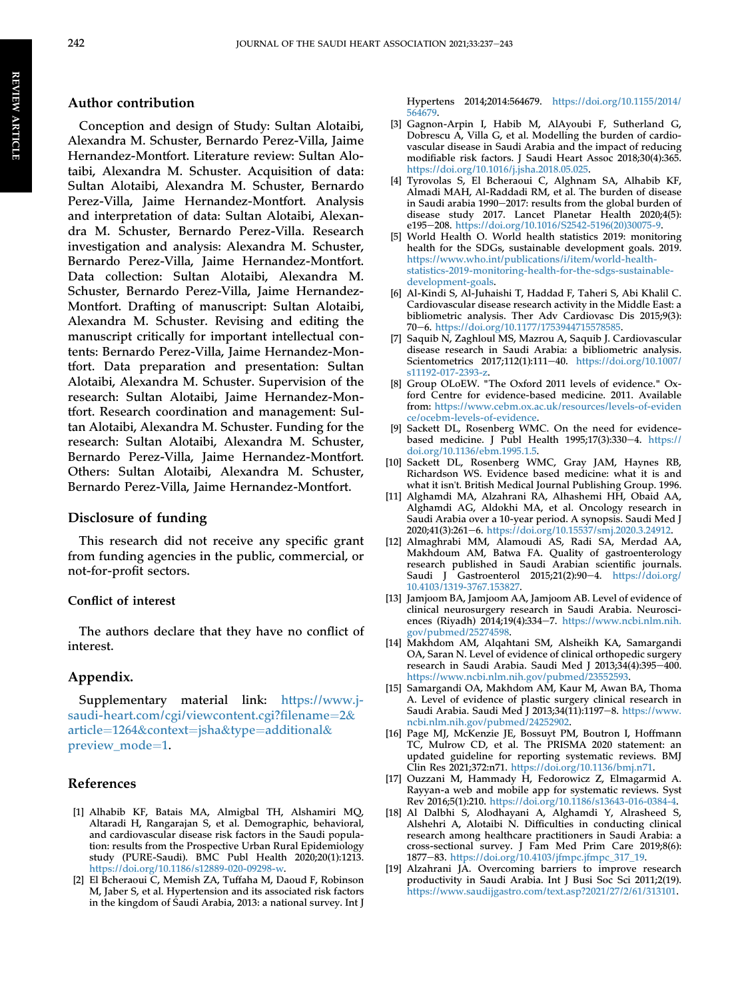### Author contribution

Conception and design of Study: Sultan Alotaibi, Alexandra M. Schuster, Bernardo Perez-Villa, Jaime Hernandez-Montfort. Literature review: Sultan Alotaibi, Alexandra M. Schuster. Acquisition of data: Sultan Alotaibi, Alexandra M. Schuster, Bernardo Perez-Villa, Jaime Hernandez-Montfort. Analysis and interpretation of data: Sultan Alotaibi, Alexandra M. Schuster, Bernardo Perez-Villa. Research investigation and analysis: Alexandra M. Schuster, Bernardo Perez-Villa, Jaime Hernandez-Montfort. Data collection: Sultan Alotaibi, Alexandra M. Schuster, Bernardo Perez-Villa, Jaime Hernandez-Montfort. Drafting of manuscript: Sultan Alotaibi, Alexandra M. Schuster. Revising and editing the manuscript critically for important intellectual contents: Bernardo Perez-Villa, Jaime Hernandez-Montfort. Data preparation and presentation: Sultan Alotaibi, Alexandra M. Schuster. Supervision of the research: Sultan Alotaibi, Jaime Hernandez-Montfort. Research coordination and management: Sultan Alotaibi, Alexandra M. Schuster. Funding for the research: Sultan Alotaibi, Alexandra M. Schuster, Bernardo Perez-Villa, Jaime Hernandez-Montfort. Others: Sultan Alotaibi, Alexandra M. Schuster, Bernardo Perez-Villa, Jaime Hernandez-Montfort.

#### Disclosure of funding

This research did not receive any specific grant from funding agencies in the public, commercial, or not-for-profit sectors.

#### Conflict of interest

The authors declare that they have no conflict of interest.

#### Appendix.

Supplementary material link: [https://www.j](https://www.j-saudi-heart.com/cgi/viewcontent.cgi?filename=2&article=1264&context=jsha&type=additional&preview_mode=1)[saudi-heart.com/cgi/viewcontent.cgi?](https://www.j-saudi-heart.com/cgi/viewcontent.cgi?filename=2&article=1264&context=jsha&type=additional&preview_mode=1)filename=[2](https://www.j-saudi-heart.com/cgi/viewcontent.cgi?filename=2&article=1264&context=jsha&type=additional&preview_mode=1)& [article](https://www.j-saudi-heart.com/cgi/viewcontent.cgi?filename=2&article=1264&context=jsha&type=additional&preview_mode=1)=[1264](https://www.j-saudi-heart.com/cgi/viewcontent.cgi?filename=2&article=1264&context=jsha&type=additional&preview_mode=1)&[context](https://www.j-saudi-heart.com/cgi/viewcontent.cgi?filename=2&article=1264&context=jsha&type=additional&preview_mode=1)=[jsha](https://www.j-saudi-heart.com/cgi/viewcontent.cgi?filename=2&article=1264&context=jsha&type=additional&preview_mode=1)&[type](https://www.j-saudi-heart.com/cgi/viewcontent.cgi?filename=2&article=1264&context=jsha&type=additional&preview_mode=1)=[additional](https://www.j-saudi-heart.com/cgi/viewcontent.cgi?filename=2&article=1264&context=jsha&type=additional&preview_mode=1)& [preview\\_mode](https://www.j-saudi-heart.com/cgi/viewcontent.cgi?filename=2&article=1264&context=jsha&type=additional&preview_mode=1)=[1.](https://www.j-saudi-heart.com/cgi/viewcontent.cgi?filename=2&article=1264&context=jsha&type=additional&preview_mode=1)

### <span id="page-6-8"></span>References

- <span id="page-6-0"></span>[1] Alhabib KF, Batais MA, Almigbal TH, Alshamiri MQ, Altaradi H, Rangarajan S, et al. Demographic, behavioral, and cardiovascular disease risk factors in the Saudi population: results from the Prospective Urban Rural Epidemiology study (PURE-Saudi). BMC Publ Health 2020;20(1):1213. <https://doi.org/10.1186/s12889-020-09298-w>.
- [2] El Bcheraoui C, Memish ZA, Tuffaha M, Daoud F, Robinson M, Jaber S, et al. Hypertension and its associated risk factors in the kingdom of Saudi Arabia, 2013: a national survey. Int J

Hypertens 2014;2014:564679. [https://doi.org/10.1155/2014/](https://doi.org/10.1155/2014/564679) [564679](https://doi.org/10.1155/2014/564679).

- <span id="page-6-1"></span>[3] Gagnon-Arpin I, Habib M, AlAyoubi F, Sutherland G, Dobrescu A, Villa G, et al. Modelling the burden of cardiovascular disease in Saudi Arabia and the impact of reducing modifiable risk factors. J Saudi Heart Assoc 2018;30(4):365. <https://doi.org/10.1016/j.jsha.2018.05.025>.
- [4] Tyrovolas S, El Bcheraoui C, Alghnam SA, Alhabib KF, Almadi MAH, Al-Raddadi RM, et al. The burden of disease in Saudi arabia 1990-2017: results from the global burden of disease study 2017. Lancet Planetar Health 2020;4(5): e195-208. [https://doi.org/10.1016/S2542-5196\(20\)30075-9.](https://doi.org/10.1016/S2542-5196(20)30075-9)
- <span id="page-6-2"></span>[5] World Health O. World health statistics 2019: monitoring health for the SDGs, sustainable development goals. 2019. [https://www.who.int/publications/i/item/world-health](https://www.who.int/publications/i/item/world-health-statistics-2019-monitoring-health-for-the-sdgs-sustainable-development-goals)[statistics-2019-monitoring-health-for-the-sdgs-sustainable](https://www.who.int/publications/i/item/world-health-statistics-2019-monitoring-health-for-the-sdgs-sustainable-development-goals)[development-goals](https://www.who.int/publications/i/item/world-health-statistics-2019-monitoring-health-for-the-sdgs-sustainable-development-goals).
- <span id="page-6-4"></span>[6] Al-Kindi S, Al-Juhaishi T, Haddad F, Taheri S, Abi Khalil C. Cardiovascular disease research activity in the Middle East: a bibliometric analysis. Ther Adv Cardiovasc Dis 2015;9(3): 70-6. <https://doi.org/10.1177/1753944715578585>.
- <span id="page-6-3"></span>[7] Saquib N, Zaghloul MS, Mazrou A, Saquib J. Cardiovascular disease research in Saudi Arabia: a bibliometric analysis. Scientometrics 2017;112(1):111-40. [https://doi.org/10.1007/](https://doi.org/10.1007/s11192-017-2393-z) [s11192-017-2393-z](https://doi.org/10.1007/s11192-017-2393-z).
- <span id="page-6-5"></span>[8] Group OLoEW. "The Oxford 2011 levels of evidence." Oxford Centre for evidence-based medicine. 2011. Available from: [https://www.cebm.ox.ac.uk/resources/levels-of-eviden](https://www.cebm.ox.ac.uk/resources/levels-of-evidence/ocebm-levels-of-evidence) [ce/ocebm-levels-of-evidence](https://www.cebm.ox.ac.uk/resources/levels-of-evidence/ocebm-levels-of-evidence).
- [9] Sackett DL, Rosenberg WMC. On the need for evidencebased medicine. J Publ Health  $1995;17(3):330-4.$  [https://](https://doi.org/10.1136/ebm.1995.1.5) [doi.org/10.1136/ebm.1995.1.5](https://doi.org/10.1136/ebm.1995.1.5).
- [10] Sackett DL, Rosenberg WMC, Gray JAM, Haynes RB, Richardson WS. Evidence based medicine: what it is and what it isn't. British Medical Journal Publishing Group. 1996.
- <span id="page-6-6"></span>[11] Alghamdi MA, Alzahrani RA, Alhashemi HH, Obaid AA, Alghamdi AG, Aldokhi MA, et al. Oncology research in Saudi Arabia over a 10-year period. A synopsis. Saudi Med J 2020;41(3):261-6. [https://doi.org/10.15537/smj.2020.3.24912.](https://doi.org/10.15537/smj.2020.3.24912)
- [12] Almaghrabi MM, Alamoudi AS, Radi SA, Merdad AA, Makhdoum AM, Batwa FA. Quality of gastroenterology research published in Saudi Arabian scientific journals. Saudi J Gastroenterol 2015;21(2):90-4.  $h$ ttps://doi.org/ [10.4103/1319-3767.153827.](https://doi.org/10.4103/1319-3767.153827)
- [13] Jamjoom BA, Jamjoom AA, Jamjoom AB. Level of evidence of clinical neurosurgery research in Saudi Arabia. Neurosciences (Riyadh) 2014;19(4):334-7. [https://www.ncbi.nlm.nih.](https://www.ncbi.nlm.nih.gov/pubmed/25274598) [gov/pubmed/25274598](https://www.ncbi.nlm.nih.gov/pubmed/25274598).
- <span id="page-6-10"></span>[14] Makhdom AM, Alqahtani SM, Alsheikh KA, Samargandi OA, Saran N. Level of evidence of clinical orthopedic surgery research in Saudi Arabia. Saudi Med J 2013; $34(4)$ :395-400. <https://www.ncbi.nlm.nih.gov/pubmed/23552593>.
- [15] Samargandi OA, Makhdom AM, Kaur M, Awan BA, Thoma A. Level of evidence of plastic surgery clinical research in Saudi Arabia. Saudi Med J 2013;34(11):1197-8. [https://www.](https://www.ncbi.nlm.nih.gov/pubmed/24252902) [ncbi.nlm.nih.gov/pubmed/24252902](https://www.ncbi.nlm.nih.gov/pubmed/24252902).
- <span id="page-6-7"></span>[16] Page MJ, McKenzie JE, Bossuyt PM, Boutron I, Hoffmann TC, Mulrow CD, et al. The PRISMA 2020 statement: an updated guideline for reporting systematic reviews. BMJ Clin Res 2021;372:n71. <https://doi.org/10.1136/bmj.n71>.
- <span id="page-6-9"></span>[17] Ouzzani M, Hammady H, Fedorowicz Z, Elmagarmid A. Rayyan-a web and mobile app for systematic reviews. Syst Rev 2016;5(1):210. <https://doi.org/10.1186/s13643-016-0384-4>.
- <span id="page-6-11"></span>[18] Al Dalbhi S, Alodhayani A, Alghamdi Y, Alrasheed S, Alshehri A, Alotaibi N. Difficulties in conducting clinical research among healthcare practitioners in Saudi Arabia: a cross-sectional survey. J Fam Med Prim Care 2019;8(6): 1877e83. [https://doi.org/10.4103/jfmpc.jfmpc\\_317\\_19.](https://doi.org/10.4103/jfmpc.jfmpc_317_19)
- <span id="page-6-12"></span>[19] Alzahrani JA. Overcoming barriers to improve research productivity in Saudi Arabia. Int J Busi Soc Sci 2011;2(19). <https://www.saudijgastro.com/text.asp?2021/27/2/61/313101>.